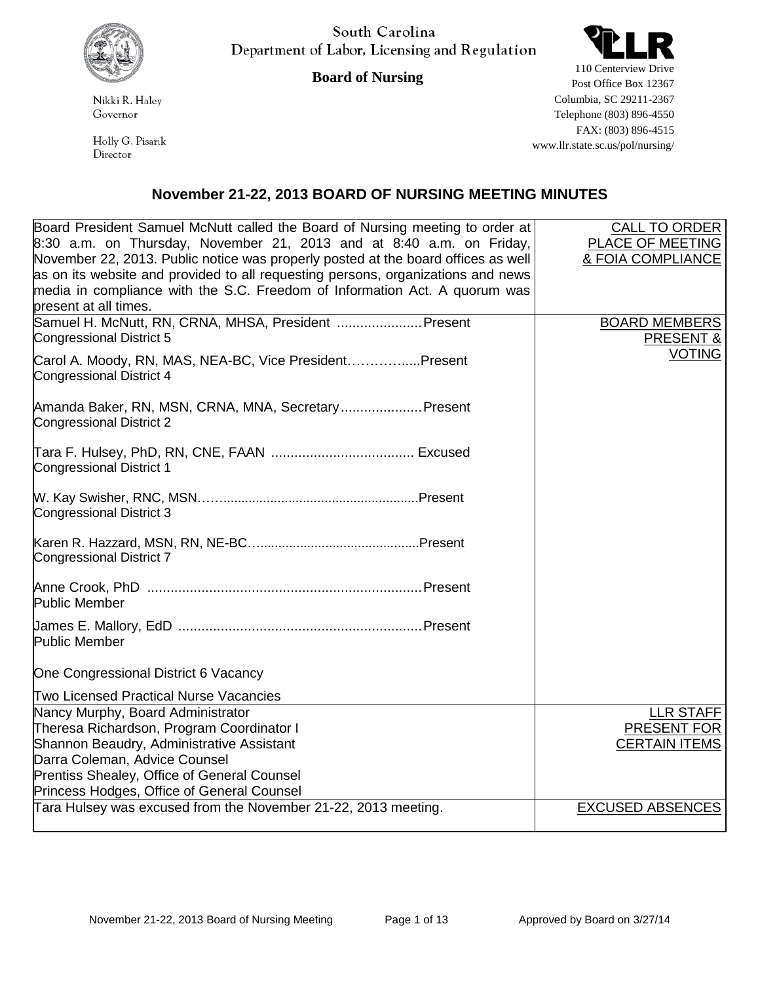

South Carolina Department of Labor, Licensing and Regulation

**Board of Nursing**

Nikki R. Haley Governor

Holly G. Pisarik Director

110 Centerview Drive Post Office Box 12367 Columbia, SC 29211-2367 Telephone (803) 896-4550 FAX: (803) 896-4515 www.llr.state.sc.us/pol/nursing/

## **November 21-22, 2013 BOARD OF NURSING MEETING MINUTES**

| Board President Samuel McNutt called the Board of Nursing meeting to order at<br>8:30 a.m. on Thursday, November 21, 2013 and at 8:40 a.m. on Friday,<br>November 22, 2013. Public notice was properly posted at the board offices as well<br>as on its website and provided to all requesting persons, organizations and news<br>media in compliance with the S.C. Freedom of Information Act. A quorum was | CALL TO ORDER<br>PLACE OF MEETING<br>& FOIA COMPLIANCE  |
|--------------------------------------------------------------------------------------------------------------------------------------------------------------------------------------------------------------------------------------------------------------------------------------------------------------------------------------------------------------------------------------------------------------|---------------------------------------------------------|
| present at all times.<br>Samuel H. McNutt, RN, CRNA, MHSA, President  Present<br>Congressional District 5                                                                                                                                                                                                                                                                                                    | <b>BOARD MEMBERS</b><br><b>PRESENT &amp;</b>            |
| Carol A. Moody, RN, MAS, NEA-BC, Vice PresidentPresent<br>Congressional District 4                                                                                                                                                                                                                                                                                                                           | <b>VOTING</b>                                           |
| Amanda Baker, RN, MSN, CRNA, MNA, Secretary Present<br>Congressional District 2                                                                                                                                                                                                                                                                                                                              |                                                         |
| <b>Congressional District 1</b>                                                                                                                                                                                                                                                                                                                                                                              |                                                         |
| Congressional District 3                                                                                                                                                                                                                                                                                                                                                                                     |                                                         |
| Congressional District 7                                                                                                                                                                                                                                                                                                                                                                                     |                                                         |
| <b>Public Member</b>                                                                                                                                                                                                                                                                                                                                                                                         |                                                         |
| Public Member                                                                                                                                                                                                                                                                                                                                                                                                |                                                         |
| One Congressional District 6 Vacancy                                                                                                                                                                                                                                                                                                                                                                         |                                                         |
| <b>Two Licensed Practical Nurse Vacancies</b>                                                                                                                                                                                                                                                                                                                                                                |                                                         |
| Nancy Murphy, Board Administrator<br>Theresa Richardson, Program Coordinator I<br>Shannon Beaudry, Administrative Assistant<br>Darra Coleman, Advice Counsel<br>Prentiss Shealey, Office of General Counsel                                                                                                                                                                                                  | <b>LLR STAFF</b><br>PRESENT FOR<br><b>CERTAIN ITEMS</b> |
| Princess Hodges, Office of General Counsel                                                                                                                                                                                                                                                                                                                                                                   |                                                         |
| Tara Hulsey was excused from the November 21-22, 2013 meeting.                                                                                                                                                                                                                                                                                                                                               | <b>EXCUSED ABSENCES</b>                                 |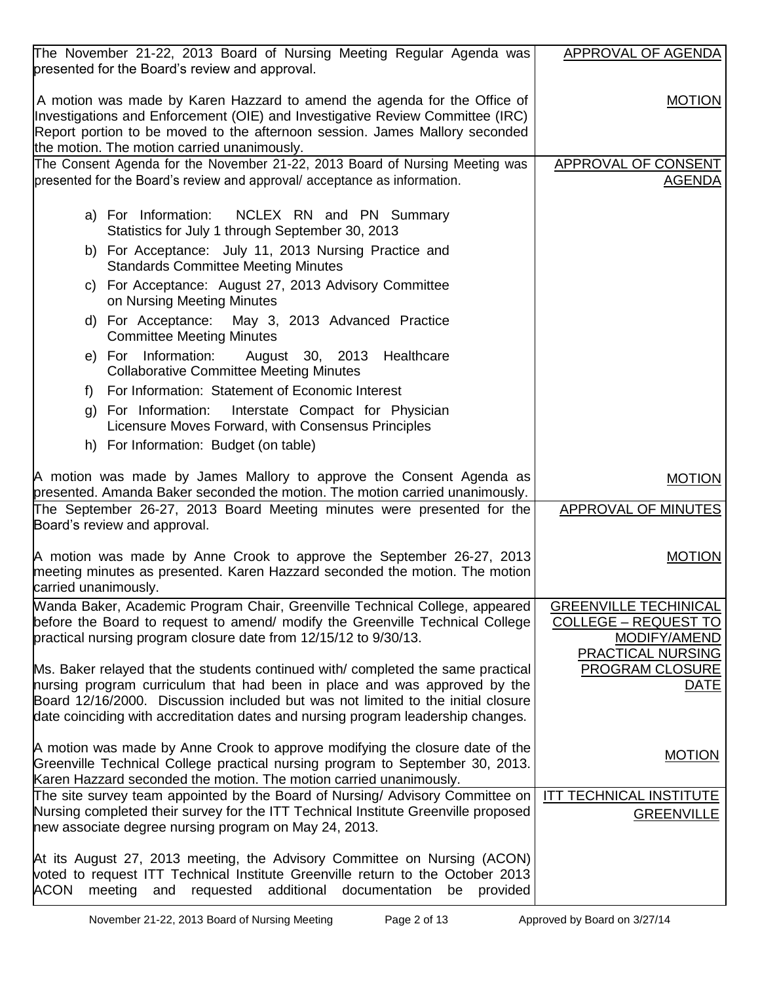| The November 21-22, 2013 Board of Nursing Meeting Regular Agenda was                                                                                         | <b>APPROVAL OF AGENDA</b>                                   |
|--------------------------------------------------------------------------------------------------------------------------------------------------------------|-------------------------------------------------------------|
| presented for the Board's review and approval.                                                                                                               |                                                             |
| A motion was made by Karen Hazzard to amend the agenda for the Office of<br>Investigations and Enforcement (OIE) and Investigative Review Committee (IRC)    | <b>MOTION</b>                                               |
| Report portion to be moved to the afternoon session. James Mallory seconded                                                                                  |                                                             |
| the motion. The motion carried unanimously.                                                                                                                  |                                                             |
| The Consent Agenda for the November 21-22, 2013 Board of Nursing Meeting was                                                                                 | APPROVAL OF CONSENT                                         |
| presented for the Board's review and approval/acceptance as information.                                                                                     | <u>AGENDA</u>                                               |
|                                                                                                                                                              |                                                             |
| a) For Information: NCLEX RN and PN Summary<br>Statistics for July 1 through September 30, 2013                                                              |                                                             |
| b) For Acceptance: July 11, 2013 Nursing Practice and<br><b>Standards Committee Meeting Minutes</b>                                                          |                                                             |
| c) For Acceptance: August 27, 2013 Advisory Committee<br>on Nursing Meeting Minutes                                                                          |                                                             |
| d) For Acceptance:<br>May 3, 2013 Advanced Practice<br><b>Committee Meeting Minutes</b>                                                                      |                                                             |
| e) For Information: August 30, 2013 Healthcare                                                                                                               |                                                             |
| <b>Collaborative Committee Meeting Minutes</b>                                                                                                               |                                                             |
| For Information: Statement of Economic Interest<br>f)                                                                                                        |                                                             |
| g) For Information:<br>Interstate Compact for Physician<br>Licensure Moves Forward, with Consensus Principles                                                |                                                             |
| h) For Information: Budget (on table)                                                                                                                        |                                                             |
|                                                                                                                                                              |                                                             |
| A motion was made by James Mallory to approve the Consent Agenda as<br>presented. Amanda Baker seconded the motion. The motion carried unanimously.          | <b>MOTION</b>                                               |
| The September 26-27, 2013 Board Meeting minutes were presented for the                                                                                       | APPROVAL OF MINUTES                                         |
| Board's review and approval.                                                                                                                                 |                                                             |
|                                                                                                                                                              |                                                             |
| A motion was made by Anne Crook to approve the September 26-27, 2013                                                                                         | <b>MOTION</b>                                               |
| meeting minutes as presented. Karen Hazzard seconded the motion. The motion<br>carried unanimously.                                                          |                                                             |
|                                                                                                                                                              |                                                             |
| Wanda Baker, Academic Program Chair, Greenville Technical College, appeared<br>before the Board to request to amend/ modify the Greenville Technical College | <b>GREENVILLE TECHINICAL</b><br><b>COLLEGE - REQUEST TO</b> |
| practical nursing program closure date from 12/15/12 to 9/30/13.                                                                                             | MODIFY/AMEND                                                |
|                                                                                                                                                              | <b>PRACTICAL NURSING</b>                                    |
| Ms. Baker relayed that the students continued with/completed the same practical                                                                              | PROGRAM CLOSURE                                             |
| hursing program curriculum that had been in place and was approved by the                                                                                    | DATE                                                        |
| Board 12/16/2000. Discussion included but was not limited to the initial closure                                                                             |                                                             |
| date coinciding with accreditation dates and nursing program leadership changes.                                                                             |                                                             |
| A motion was made by Anne Crook to approve modifying the closure date of the                                                                                 |                                                             |
| Greenville Technical College practical nursing program to September 30, 2013.                                                                                | <b>MOTION</b>                                               |
| Karen Hazzard seconded the motion. The motion carried unanimously.                                                                                           |                                                             |
| The site survey team appointed by the Board of Nursing/ Advisory Committee on                                                                                | <b>ITT TECHNICAL INSTITUTE</b>                              |
| Nursing completed their survey for the ITT Technical Institute Greenville proposed                                                                           | <b>GREENVILLE</b>                                           |
| hew associate degree nursing program on May 24, 2013.                                                                                                        |                                                             |
| At its August 27, 2013 meeting, the Advisory Committee on Nursing (ACON)                                                                                     |                                                             |
| voted to request ITT Technical Institute Greenville return to the October 2013                                                                               |                                                             |
| meeting<br>requested additional documentation<br><b>ACON</b><br>provided<br>and<br>be                                                                        |                                                             |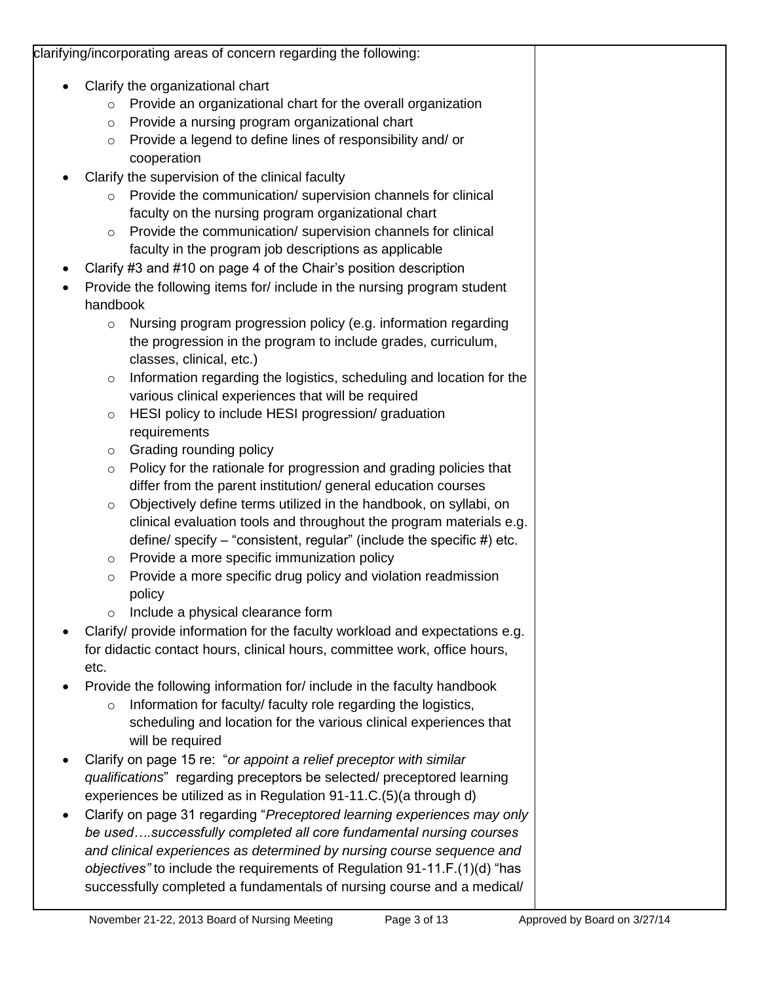| clarifying/incorporating areas of concern regarding the following:                                                                                                                                                                                                                                                                                                                                                                                                                                                                                                                                                                                                                                                                                                                                                                                                                                                                                                                                                                                                                           |  |
|----------------------------------------------------------------------------------------------------------------------------------------------------------------------------------------------------------------------------------------------------------------------------------------------------------------------------------------------------------------------------------------------------------------------------------------------------------------------------------------------------------------------------------------------------------------------------------------------------------------------------------------------------------------------------------------------------------------------------------------------------------------------------------------------------------------------------------------------------------------------------------------------------------------------------------------------------------------------------------------------------------------------------------------------------------------------------------------------|--|
| Clarify the organizational chart<br>Provide an organizational chart for the overall organization<br>$\circ$<br>Provide a nursing program organizational chart<br>$\circ$<br>Provide a legend to define lines of responsibility and/ or<br>$\circ$<br>cooperation<br>Clarify the supervision of the clinical faculty<br>Provide the communication/ supervision channels for clinical<br>$\circ$<br>faculty on the nursing program organizational chart<br>Provide the communication/ supervision channels for clinical<br>$\circ$<br>faculty in the program job descriptions as applicable                                                                                                                                                                                                                                                                                                                                                                                                                                                                                                    |  |
| Clarify #3 and #10 on page 4 of the Chair's position description<br>Provide the following items for/include in the nursing program student<br>handbook                                                                                                                                                                                                                                                                                                                                                                                                                                                                                                                                                                                                                                                                                                                                                                                                                                                                                                                                       |  |
| Nursing program progression policy (e.g. information regarding<br>$\circ$<br>the progression in the program to include grades, curriculum,<br>classes, clinical, etc.)<br>Information regarding the logistics, scheduling and location for the<br>$\circ$<br>various clinical experiences that will be required<br>HESI policy to include HESI progression/graduation<br>$\circ$<br>requirements<br>Grading rounding policy<br>$\circ$<br>Policy for the rationale for progression and grading policies that<br>$\circ$<br>differ from the parent institution/ general education courses<br>Objectively define terms utilized in the handbook, on syllabi, on<br>$\circ$<br>clinical evaluation tools and throughout the program materials e.g.<br>define/ specify – "consistent, regular" (include the specific #) etc.<br>Provide a more specific immunization policy<br>$\circ$<br>Provide a more specific drug policy and violation readmission<br>$\circ$<br>policy<br>Include a physical clearance form<br>Clarify/ provide information for the faculty workload and expectations e.g. |  |
| for didactic contact hours, clinical hours, committee work, office hours,<br>etc.<br>Provide the following information for/ include in the faculty handbook<br>Information for faculty/faculty role regarding the logistics,<br>$\circ$<br>scheduling and location for the various clinical experiences that<br>will be required                                                                                                                                                                                                                                                                                                                                                                                                                                                                                                                                                                                                                                                                                                                                                             |  |
| Clarify on page 15 re: "or appoint a relief preceptor with similar<br>qualifications" regarding preceptors be selected/ preceptored learning<br>experiences be utilized as in Regulation 91-11.C.(5)(a through d)<br>Clarify on page 31 regarding "Preceptored learning experiences may only<br>be usedsuccessfully completed all core fundamental nursing courses<br>and clinical experiences as determined by nursing course sequence and<br>objectives" to include the requirements of Regulation 91-11.F.(1)(d) "has<br>successfully completed a fundamentals of nursing course and a medical/                                                                                                                                                                                                                                                                                                                                                                                                                                                                                           |  |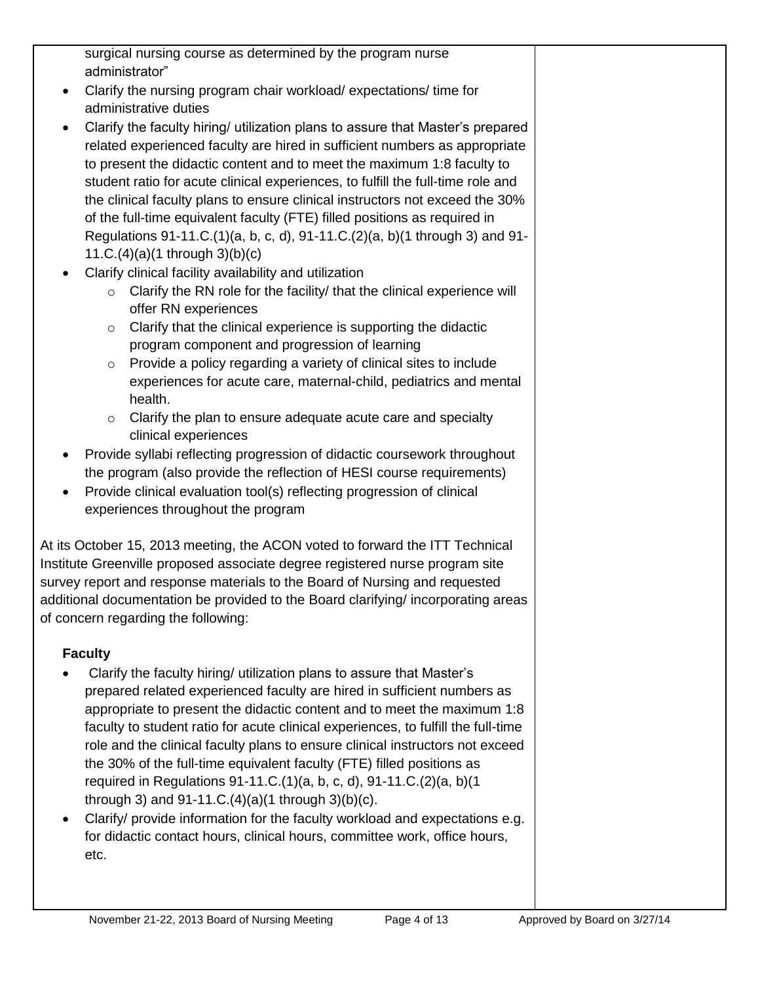| surgical nursing course as determined by the program nurse<br>administrator"                                                                             |  |
|----------------------------------------------------------------------------------------------------------------------------------------------------------|--|
| Clarify the nursing program chair workload/expectations/time for<br>$\bullet$                                                                            |  |
| administrative duties                                                                                                                                    |  |
| Clarify the faculty hiring/ utilization plans to assure that Master's prepared<br>$\bullet$                                                              |  |
| related experienced faculty are hired in sufficient numbers as appropriate                                                                               |  |
| to present the didactic content and to meet the maximum 1:8 faculty to                                                                                   |  |
| student ratio for acute clinical experiences, to fulfill the full-time role and                                                                          |  |
| the clinical faculty plans to ensure clinical instructors not exceed the 30%                                                                             |  |
| of the full-time equivalent faculty (FTE) filled positions as required in<br>Regulations 91-11.C.(1)(a, b, c, d), 91-11.C.(2)(a, b)(1 through 3) and 91- |  |
| 11.C.(4)(a)(1 through 3)(b)(c)                                                                                                                           |  |
| Clarify clinical facility availability and utilization<br>$\bullet$                                                                                      |  |
| Clarify the RN role for the facility/ that the clinical experience will<br>$\circ$                                                                       |  |
| offer RN experiences                                                                                                                                     |  |
| Clarify that the clinical experience is supporting the didactic<br>$\circ$                                                                               |  |
| program component and progression of learning                                                                                                            |  |
| Provide a policy regarding a variety of clinical sites to include<br>$\circ$                                                                             |  |
| experiences for acute care, maternal-child, pediatrics and mental<br>health.                                                                             |  |
| Clarify the plan to ensure adequate acute care and specialty<br>$\circ$                                                                                  |  |
| clinical experiences                                                                                                                                     |  |
| Provide syllabi reflecting progression of didactic coursework throughout<br>٠                                                                            |  |
| the program (also provide the reflection of HESI course requirements)                                                                                    |  |
| Provide clinical evaluation tool(s) reflecting progression of clinical<br>٠                                                                              |  |
| experiences throughout the program                                                                                                                       |  |
| At its October 15, 2013 meeting, the ACON voted to forward the ITT Technical                                                                             |  |
| Institute Greenville proposed associate degree registered nurse program site                                                                             |  |
| survey report and response materials to the Board of Nursing and requested                                                                               |  |
| additional documentation be provided to the Board clarifying/ incorporating areas                                                                        |  |
| of concern regarding the following:                                                                                                                      |  |
| <b>Faculty</b>                                                                                                                                           |  |
| Clarify the faculty hiring/ utilization plans to assure that Master's                                                                                    |  |
| prepared related experienced faculty are hired in sufficient numbers as                                                                                  |  |
| appropriate to present the didactic content and to meet the maximum 1:8                                                                                  |  |
| faculty to student ratio for acute clinical experiences, to fulfill the full-time                                                                        |  |
| role and the clinical faculty plans to ensure clinical instructors not exceed                                                                            |  |
| the 30% of the full-time equivalent faculty (FTE) filled positions as                                                                                    |  |
| required in Regulations 91-11.C.(1)(a, b, c, d), 91-11.C.(2)(a, b)(1<br>through 3) and $91-11.C.(4)(a)(1$ through 3 $(b)(c)$ .                           |  |
| Clarify/ provide information for the faculty workload and expectations e.g.<br>$\bullet$                                                                 |  |
| for didactic contact hours, clinical hours, committee work, office hours,                                                                                |  |
| etc.                                                                                                                                                     |  |
|                                                                                                                                                          |  |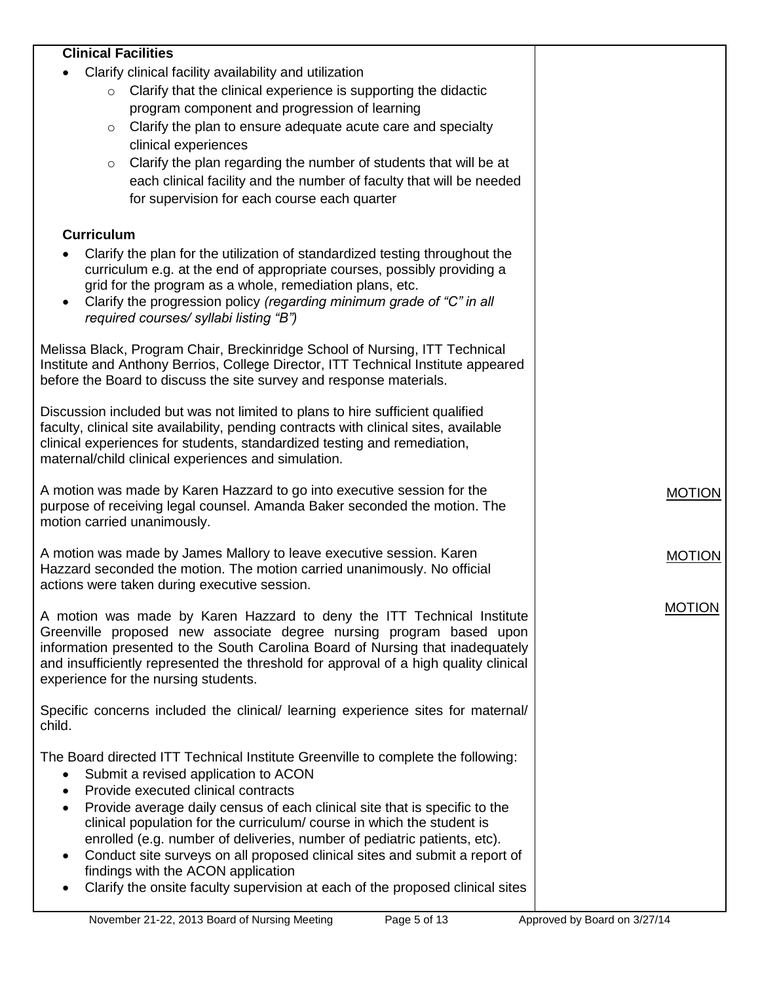| <b>Clinical Facilities</b>                                                                                                                                       |               |
|------------------------------------------------------------------------------------------------------------------------------------------------------------------|---------------|
| Clarify clinical facility availability and utilization                                                                                                           |               |
| Clarify that the clinical experience is supporting the didactic<br>$\circ$                                                                                       |               |
| program component and progression of learning                                                                                                                    |               |
| Clarify the plan to ensure adequate acute care and specialty<br>$\circ$                                                                                          |               |
| clinical experiences                                                                                                                                             |               |
| Clarify the plan regarding the number of students that will be at<br>$\circ$                                                                                     |               |
| each clinical facility and the number of faculty that will be needed                                                                                             |               |
| for supervision for each course each quarter                                                                                                                     |               |
|                                                                                                                                                                  |               |
| <b>Curriculum</b>                                                                                                                                                |               |
| Clarify the plan for the utilization of standardized testing throughout the                                                                                      |               |
| curriculum e.g. at the end of appropriate courses, possibly providing a                                                                                          |               |
| grid for the program as a whole, remediation plans, etc.                                                                                                         |               |
| Clarify the progression policy (regarding minimum grade of "C" in all<br>$\bullet$                                                                               |               |
| required courses/ syllabi listing "B")                                                                                                                           |               |
|                                                                                                                                                                  |               |
| Melissa Black, Program Chair, Breckinridge School of Nursing, ITT Technical<br>Institute and Anthony Berrios, College Director, ITT Technical Institute appeared |               |
| before the Board to discuss the site survey and response materials.                                                                                              |               |
|                                                                                                                                                                  |               |
| Discussion included but was not limited to plans to hire sufficient qualified                                                                                    |               |
| faculty, clinical site availability, pending contracts with clinical sites, available                                                                            |               |
| clinical experiences for students, standardized testing and remediation,                                                                                         |               |
| maternal/child clinical experiences and simulation.                                                                                                              |               |
|                                                                                                                                                                  |               |
| A motion was made by Karen Hazzard to go into executive session for the<br>purpose of receiving legal counsel. Amanda Baker seconded the motion. The             | <b>MOTION</b> |
| motion carried unanimously.                                                                                                                                      |               |
|                                                                                                                                                                  |               |
| A motion was made by James Mallory to leave executive session. Karen                                                                                             | <b>MOTION</b> |
| Hazzard seconded the motion. The motion carried unanimously. No official                                                                                         |               |
| actions were taken during executive session.                                                                                                                     |               |
|                                                                                                                                                                  | <b>MOTION</b> |
| A motion was made by Karen Hazzard to deny the ITT Technical Institute<br>Greenville proposed new associate degree nursing program based upon                    |               |
| information presented to the South Carolina Board of Nursing that inadequately                                                                                   |               |
| and insufficiently represented the threshold for approval of a high quality clinical                                                                             |               |
| experience for the nursing students.                                                                                                                             |               |
|                                                                                                                                                                  |               |
| Specific concerns included the clinical/ learning experience sites for maternal/                                                                                 |               |
| child.                                                                                                                                                           |               |
| The Board directed ITT Technical Institute Greenville to complete the following:                                                                                 |               |
| Submit a revised application to ACON<br>$\bullet$                                                                                                                |               |
| Provide executed clinical contracts<br>$\bullet$                                                                                                                 |               |
| Provide average daily census of each clinical site that is specific to the<br>$\bullet$                                                                          |               |
| clinical population for the curriculum/course in which the student is                                                                                            |               |
| enrolled (e.g. number of deliveries, number of pediatric patients, etc).                                                                                         |               |
|                                                                                                                                                                  |               |
| Conduct site surveys on all proposed clinical sites and submit a report of<br>$\bullet$                                                                          |               |
| findings with the ACON application                                                                                                                               |               |
| Clarify the onsite faculty supervision at each of the proposed clinical sites                                                                                    |               |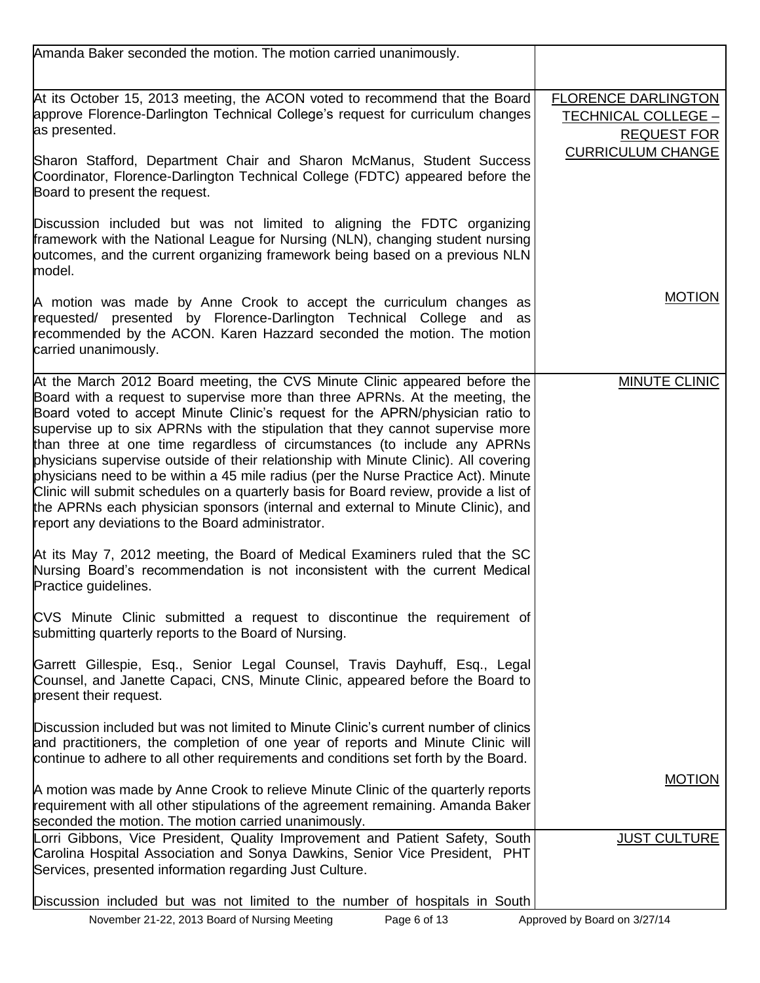| Amanda Baker seconded the motion. The motion carried unanimously.                                                                                                                                                                                                                                                                                                                                                                                                                                                                                                                                                                                                                                                                                                                                                        |                                                                         |
|--------------------------------------------------------------------------------------------------------------------------------------------------------------------------------------------------------------------------------------------------------------------------------------------------------------------------------------------------------------------------------------------------------------------------------------------------------------------------------------------------------------------------------------------------------------------------------------------------------------------------------------------------------------------------------------------------------------------------------------------------------------------------------------------------------------------------|-------------------------------------------------------------------------|
| At its October 15, 2013 meeting, the ACON voted to recommend that the Board<br>approve Florence-Darlington Technical College's request for curriculum changes<br>as presented.                                                                                                                                                                                                                                                                                                                                                                                                                                                                                                                                                                                                                                           | <b>FLORENCE DARLINGTON</b><br>TECHNICAL COLLEGE -<br><b>REQUEST FOR</b> |
| Sharon Stafford, Department Chair and Sharon McManus, Student Success<br>Coordinator, Florence-Darlington Technical College (FDTC) appeared before the<br>Board to present the request.                                                                                                                                                                                                                                                                                                                                                                                                                                                                                                                                                                                                                                  | <b>CURRICULUM CHANGE</b>                                                |
| Discussion included but was not limited to aligning the FDTC organizing<br>framework with the National League for Nursing (NLN), changing student nursing<br>outcomes, and the current organizing framework being based on a previous NLN<br>model.                                                                                                                                                                                                                                                                                                                                                                                                                                                                                                                                                                      |                                                                         |
| A motion was made by Anne Crook to accept the curriculum changes as<br>requested/ presented by Florence-Darlington Technical College and as<br>recommended by the ACON. Karen Hazzard seconded the motion. The motion<br>carried unanimously.                                                                                                                                                                                                                                                                                                                                                                                                                                                                                                                                                                            | <b>MOTION</b>                                                           |
| At the March 2012 Board meeting, the CVS Minute Clinic appeared before the<br>Board with a request to supervise more than three APRNs. At the meeting, the<br>Board voted to accept Minute Clinic's request for the APRN/physician ratio to<br>supervise up to six APRNs with the stipulation that they cannot supervise more<br>than three at one time regardless of circumstances (to include any APRNs<br>physicians supervise outside of their relationship with Minute Clinic). All covering<br>physicians need to be within a 45 mile radius (per the Nurse Practice Act). Minute<br>Clinic will submit schedules on a quarterly basis for Board review, provide a list of<br>the APRNs each physician sponsors (internal and external to Minute Clinic), and<br>report any deviations to the Board administrator. | MINUTE CLINIC                                                           |
| At its May 7, 2012 meeting, the Board of Medical Examiners ruled that the SC<br>Nursing Board's recommendation is not inconsistent with the current Medical<br>Practice guidelines.                                                                                                                                                                                                                                                                                                                                                                                                                                                                                                                                                                                                                                      |                                                                         |
| CVS Minute Clinic submitted a request to discontinue the requirement of<br>submitting quarterly reports to the Board of Nursing.                                                                                                                                                                                                                                                                                                                                                                                                                                                                                                                                                                                                                                                                                         |                                                                         |
| Garrett Gillespie, Esq., Senior Legal Counsel, Travis Dayhuff, Esq., Legal<br>Counsel, and Janette Capaci, CNS, Minute Clinic, appeared before the Board to<br>present their request.                                                                                                                                                                                                                                                                                                                                                                                                                                                                                                                                                                                                                                    |                                                                         |
| Discussion included but was not limited to Minute Clinic's current number of clinics<br>and practitioners, the completion of one year of reports and Minute Clinic will<br>continue to adhere to all other requirements and conditions set forth by the Board.                                                                                                                                                                                                                                                                                                                                                                                                                                                                                                                                                           |                                                                         |
| A motion was made by Anne Crook to relieve Minute Clinic of the quarterly reports<br>requirement with all other stipulations of the agreement remaining. Amanda Baker<br>seconded the motion. The motion carried unanimously.                                                                                                                                                                                                                                                                                                                                                                                                                                                                                                                                                                                            | <b>MOTION</b>                                                           |
| Lorri Gibbons, Vice President, Quality Improvement and Patient Safety, South<br>Carolina Hospital Association and Sonya Dawkins, Senior Vice President, PHT<br>Services, presented information regarding Just Culture.                                                                                                                                                                                                                                                                                                                                                                                                                                                                                                                                                                                                   | <b>JUST CULTURE</b>                                                     |
| Discussion included but was not limited to the number of hospitals in South                                                                                                                                                                                                                                                                                                                                                                                                                                                                                                                                                                                                                                                                                                                                              |                                                                         |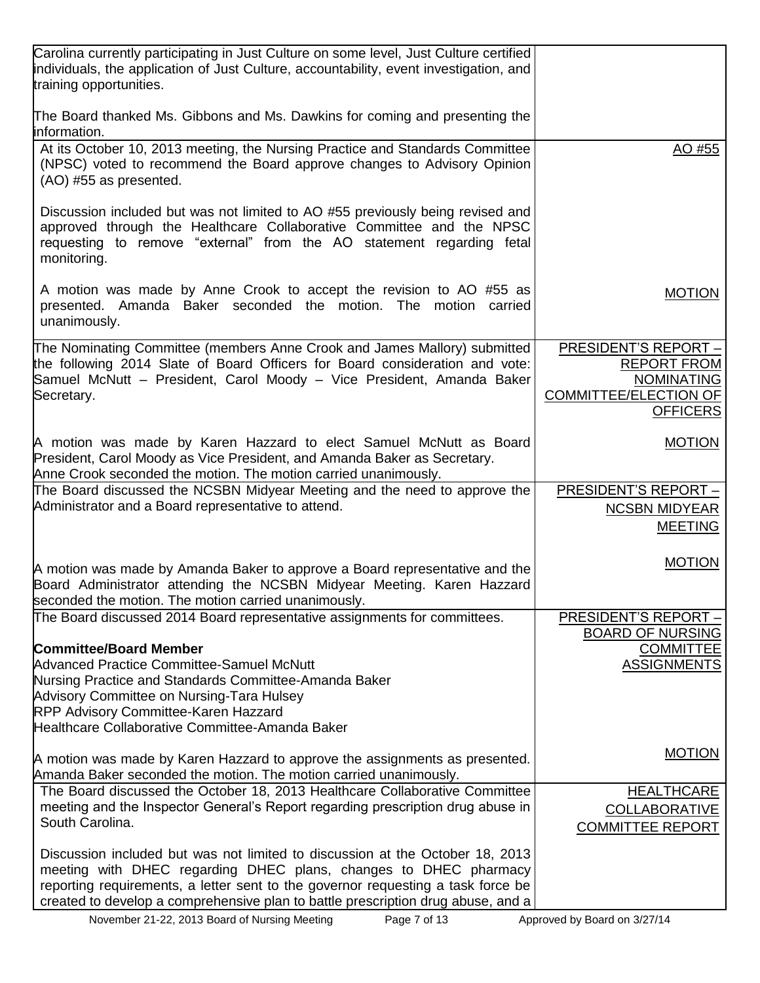| Carolina currently participating in Just Culture on some level, Just Culture certified<br>individuals, the application of Just Culture, accountability, event investigation, and<br>training opportunities.                                                                                                               |                                                 |
|---------------------------------------------------------------------------------------------------------------------------------------------------------------------------------------------------------------------------------------------------------------------------------------------------------------------------|-------------------------------------------------|
| The Board thanked Ms. Gibbons and Ms. Dawkins for coming and presenting the<br>information.                                                                                                                                                                                                                               |                                                 |
| At its October 10, 2013 meeting, the Nursing Practice and Standards Committee<br>(NPSC) voted to recommend the Board approve changes to Advisory Opinion<br>(AO) #55 as presented.                                                                                                                                        | AO #55                                          |
| Discussion included but was not limited to AO #55 previously being revised and<br>approved through the Healthcare Collaborative Committee and the NPSC<br>requesting to remove "external" from the AO statement regarding fetal<br>monitoring.                                                                            |                                                 |
| A motion was made by Anne Crook to accept the revision to AO #55 as<br>presented. Amanda Baker seconded the motion. The motion carried<br>unanimously.                                                                                                                                                                    | <b>MOTION</b>                                   |
| The Nominating Committee (members Anne Crook and James Mallory) submitted                                                                                                                                                                                                                                                 | <b>PRESIDENT'S REPORT -</b>                     |
| the following 2014 Slate of Board Officers for Board consideration and vote:<br>Samuel McNutt - President, Carol Moody - Vice President, Amanda Baker                                                                                                                                                                     | <b>REPORT FROM</b><br><b>NOMINATING</b>         |
| Secretary.                                                                                                                                                                                                                                                                                                                | <b>COMMITTEE/ELECTION OF</b><br><b>OFFICERS</b> |
| A motion was made by Karen Hazzard to elect Samuel McNutt as Board                                                                                                                                                                                                                                                        | <b>MOTION</b>                                   |
| President, Carol Moody as Vice President, and Amanda Baker as Secretary.<br>Anne Crook seconded the motion. The motion carried unanimously.                                                                                                                                                                               |                                                 |
| The Board discussed the NCSBN Midyear Meeting and the need to approve the                                                                                                                                                                                                                                                 | PRESIDENT'S REPORT -                            |
| Administrator and a Board representative to attend.                                                                                                                                                                                                                                                                       | <b>NCSBN MIDYEAR</b>                            |
|                                                                                                                                                                                                                                                                                                                           | <b>MEETING</b>                                  |
| A motion was made by Amanda Baker to approve a Board representative and the<br>Board Administrator attending the NCSBN Midyear Meeting. Karen Hazzard<br>seconded the motion. The motion carried unanimously.                                                                                                             | <b>MOTION</b>                                   |
| The Board discussed 2014 Board representative assignments for committees.                                                                                                                                                                                                                                                 | <b>PRESIDENT'S REPORT -</b>                     |
| <b>Committee/Board Member</b>                                                                                                                                                                                                                                                                                             | <b>BOARD OF NURSING</b><br><b>COMMITTEE</b>     |
| <b>Advanced Practice Committee-Samuel McNutt</b>                                                                                                                                                                                                                                                                          | <b>ASSIGNMENTS</b>                              |
| Nursing Practice and Standards Committee-Amanda Baker                                                                                                                                                                                                                                                                     |                                                 |
| Advisory Committee on Nursing-Tara Hulsey<br><b>RPP Advisory Committee-Karen Hazzard</b>                                                                                                                                                                                                                                  |                                                 |
| Healthcare Collaborative Committee-Amanda Baker                                                                                                                                                                                                                                                                           |                                                 |
| A motion was made by Karen Hazzard to approve the assignments as presented.<br>Amanda Baker seconded the motion. The motion carried unanimously.                                                                                                                                                                          | <b>MOTION</b>                                   |
| The Board discussed the October 18, 2013 Healthcare Collaborative Committee                                                                                                                                                                                                                                               | <b>HEALTHCARE</b>                               |
| meeting and the Inspector General's Report regarding prescription drug abuse in<br>South Carolina.                                                                                                                                                                                                                        | <b>COLLABORATIVE</b><br>COMMITTEE REPORT        |
| Discussion included but was not limited to discussion at the October 18, 2013<br>meeting with DHEC regarding DHEC plans, changes to DHEC pharmacy<br>reporting requirements, a letter sent to the governor requesting a task force be<br>created to develop a comprehensive plan to battle prescription drug abuse, and a |                                                 |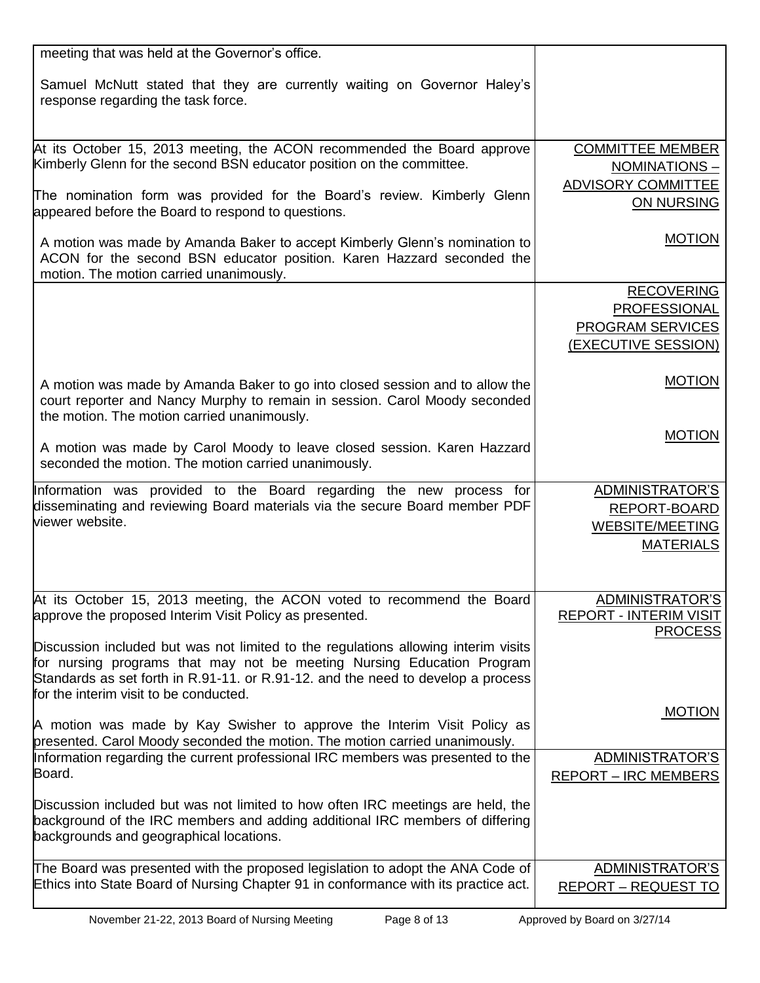| meeting that was held at the Governor's office.                                                                                                                                                                                                                                            |                               |
|--------------------------------------------------------------------------------------------------------------------------------------------------------------------------------------------------------------------------------------------------------------------------------------------|-------------------------------|
| Samuel McNutt stated that they are currently waiting on Governor Haley's<br>response regarding the task force.                                                                                                                                                                             |                               |
|                                                                                                                                                                                                                                                                                            |                               |
| At its October 15, 2013 meeting, the ACON recommended the Board approve                                                                                                                                                                                                                    | <b>COMMITTEE MEMBER</b>       |
| Kimberly Glenn for the second BSN educator position on the committee.                                                                                                                                                                                                                      | NOMINATIONS-                  |
|                                                                                                                                                                                                                                                                                            | ADVISORY COMMITTEE            |
| The nomination form was provided for the Board's review. Kimberly Glenn<br>appeared before the Board to respond to questions.                                                                                                                                                              | ON NURSING                    |
| A motion was made by Amanda Baker to accept Kimberly Glenn's nomination to<br>ACON for the second BSN educator position. Karen Hazzard seconded the<br>motion. The motion carried unanimously.                                                                                             | <b>MOTION</b>                 |
|                                                                                                                                                                                                                                                                                            | <b>RECOVERING</b>             |
|                                                                                                                                                                                                                                                                                            | PROFESSIONAL                  |
|                                                                                                                                                                                                                                                                                            | PROGRAM SERVICES              |
|                                                                                                                                                                                                                                                                                            | (EXECUTIVE SESSION)           |
|                                                                                                                                                                                                                                                                                            |                               |
| A motion was made by Amanda Baker to go into closed session and to allow the<br>court reporter and Nancy Murphy to remain in session. Carol Moody seconded<br>the motion. The motion carried unanimously.                                                                                  | <b>MOTION</b>                 |
|                                                                                                                                                                                                                                                                                            | <b>MOTION</b>                 |
| A motion was made by Carol Moody to leave closed session. Karen Hazzard<br>seconded the motion. The motion carried unanimously.                                                                                                                                                            |                               |
| Information was provided to the Board regarding the new process for                                                                                                                                                                                                                        | ADMINISTRATOR'S               |
| disseminating and reviewing Board materials via the secure Board member PDF                                                                                                                                                                                                                | REPORT-BOARD                  |
| viewer website.                                                                                                                                                                                                                                                                            | <b>WEBSITE/MEETING</b>        |
|                                                                                                                                                                                                                                                                                            | <b>MATERIALS</b>              |
|                                                                                                                                                                                                                                                                                            |                               |
| At its October 15, 2013 meeting, the ACON voted to recommend the Board                                                                                                                                                                                                                     | ADMINISTRATOR'S               |
| approve the proposed Interim Visit Policy as presented.                                                                                                                                                                                                                                    | <b>REPORT - INTERIM VISIT</b> |
|                                                                                                                                                                                                                                                                                            | <b>PROCESS</b>                |
| Discussion included but was not limited to the regulations allowing interim visits<br>for nursing programs that may not be meeting Nursing Education Program<br>Standards as set forth in R.91-11. or R.91-12. and the need to develop a process<br>for the interim visit to be conducted. |                               |
|                                                                                                                                                                                                                                                                                            | <b>MOTION</b>                 |
| A motion was made by Kay Swisher to approve the Interim Visit Policy as<br>presented. Carol Moody seconded the motion. The motion carried unanimously.                                                                                                                                     |                               |
| Information regarding the current professional IRC members was presented to the                                                                                                                                                                                                            | ADMINISTRATOR'S               |
| Board.                                                                                                                                                                                                                                                                                     | <b>REPORT – IRC MEMBERS</b>   |
| Discussion included but was not limited to how often IRC meetings are held, the<br>background of the IRC members and adding additional IRC members of differing<br>backgrounds and geographical locations.                                                                                 |                               |
| The Board was presented with the proposed legislation to adopt the ANA Code of                                                                                                                                                                                                             |                               |
| Ethics into State Board of Nursing Chapter 91 in conformance with its practice act.                                                                                                                                                                                                        | ADMINISTRATOR'S               |
|                                                                                                                                                                                                                                                                                            | <b>REPORT – REQUEST TO</b>    |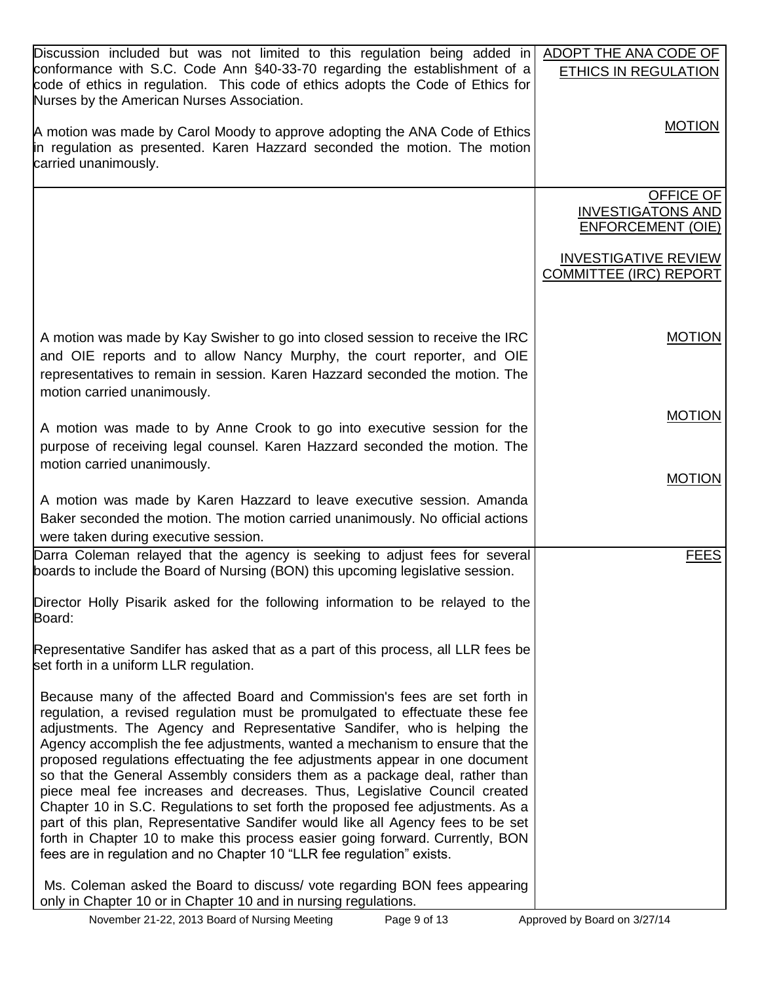| Discussion included but was not limited to this regulation being added in                                                                                                                                                                                                                                                                                                                                                                                                                                                                                                                                                                                                                                                                                                                                                                                                                      | ADOPT THE ANA CODE OF                                             |
|------------------------------------------------------------------------------------------------------------------------------------------------------------------------------------------------------------------------------------------------------------------------------------------------------------------------------------------------------------------------------------------------------------------------------------------------------------------------------------------------------------------------------------------------------------------------------------------------------------------------------------------------------------------------------------------------------------------------------------------------------------------------------------------------------------------------------------------------------------------------------------------------|-------------------------------------------------------------------|
| conformance with S.C. Code Ann §40-33-70 regarding the establishment of a<br>code of ethics in regulation. This code of ethics adopts the Code of Ethics for<br>Nurses by the American Nurses Association.                                                                                                                                                                                                                                                                                                                                                                                                                                                                                                                                                                                                                                                                                     | ETHICS IN REGULATION                                              |
| A motion was made by Carol Moody to approve adopting the ANA Code of Ethics<br>in regulation as presented. Karen Hazzard seconded the motion. The motion<br>carried unanimously.                                                                                                                                                                                                                                                                                                                                                                                                                                                                                                                                                                                                                                                                                                               | <b>MOTION</b>                                                     |
|                                                                                                                                                                                                                                                                                                                                                                                                                                                                                                                                                                                                                                                                                                                                                                                                                                                                                                | OFFICE OF<br><b>INVESTIGATONS AND</b><br><b>ENFORCEMENT (OIE)</b> |
|                                                                                                                                                                                                                                                                                                                                                                                                                                                                                                                                                                                                                                                                                                                                                                                                                                                                                                | <b>INVESTIGATIVE REVIEW</b><br><b>COMMITTEE (IRC) REPORT</b>      |
| A motion was made by Kay Swisher to go into closed session to receive the IRC<br>and OIE reports and to allow Nancy Murphy, the court reporter, and OIE<br>representatives to remain in session. Karen Hazzard seconded the motion. The<br>motion carried unanimously.                                                                                                                                                                                                                                                                                                                                                                                                                                                                                                                                                                                                                         | <b>MOTION</b>                                                     |
| A motion was made to by Anne Crook to go into executive session for the<br>purpose of receiving legal counsel. Karen Hazzard seconded the motion. The<br>motion carried unanimously.                                                                                                                                                                                                                                                                                                                                                                                                                                                                                                                                                                                                                                                                                                           | <b>MOTION</b>                                                     |
| A motion was made by Karen Hazzard to leave executive session. Amanda<br>Baker seconded the motion. The motion carried unanimously. No official actions<br>were taken during executive session.                                                                                                                                                                                                                                                                                                                                                                                                                                                                                                                                                                                                                                                                                                | <b>MOTION</b>                                                     |
| Darra Coleman relayed that the agency is seeking to adjust fees for several<br>boards to include the Board of Nursing (BON) this upcoming legislative session.                                                                                                                                                                                                                                                                                                                                                                                                                                                                                                                                                                                                                                                                                                                                 | <b>FEES</b>                                                       |
| Director Holly Pisarik asked for the following information to be relayed to the<br>Board:                                                                                                                                                                                                                                                                                                                                                                                                                                                                                                                                                                                                                                                                                                                                                                                                      |                                                                   |
| Representative Sandifer has asked that as a part of this process, all LLR fees be<br>set forth in a uniform LLR regulation.                                                                                                                                                                                                                                                                                                                                                                                                                                                                                                                                                                                                                                                                                                                                                                    |                                                                   |
| Because many of the affected Board and Commission's fees are set forth in<br>regulation, a revised regulation must be promulgated to effectuate these fee<br>adjustments. The Agency and Representative Sandifer, who is helping the<br>Agency accomplish the fee adjustments, wanted a mechanism to ensure that the<br>proposed regulations effectuating the fee adjustments appear in one document<br>so that the General Assembly considers them as a package deal, rather than<br>piece meal fee increases and decreases. Thus, Legislative Council created<br>Chapter 10 in S.C. Regulations to set forth the proposed fee adjustments. As a<br>part of this plan, Representative Sandifer would like all Agency fees to be set<br>forth in Chapter 10 to make this process easier going forward. Currently, BON<br>fees are in regulation and no Chapter 10 "LLR fee regulation" exists. |                                                                   |
| Ms. Coleman asked the Board to discuss/ vote regarding BON fees appearing<br>only in Chapter 10 or in Chapter 10 and in nursing regulations.                                                                                                                                                                                                                                                                                                                                                                                                                                                                                                                                                                                                                                                                                                                                                   |                                                                   |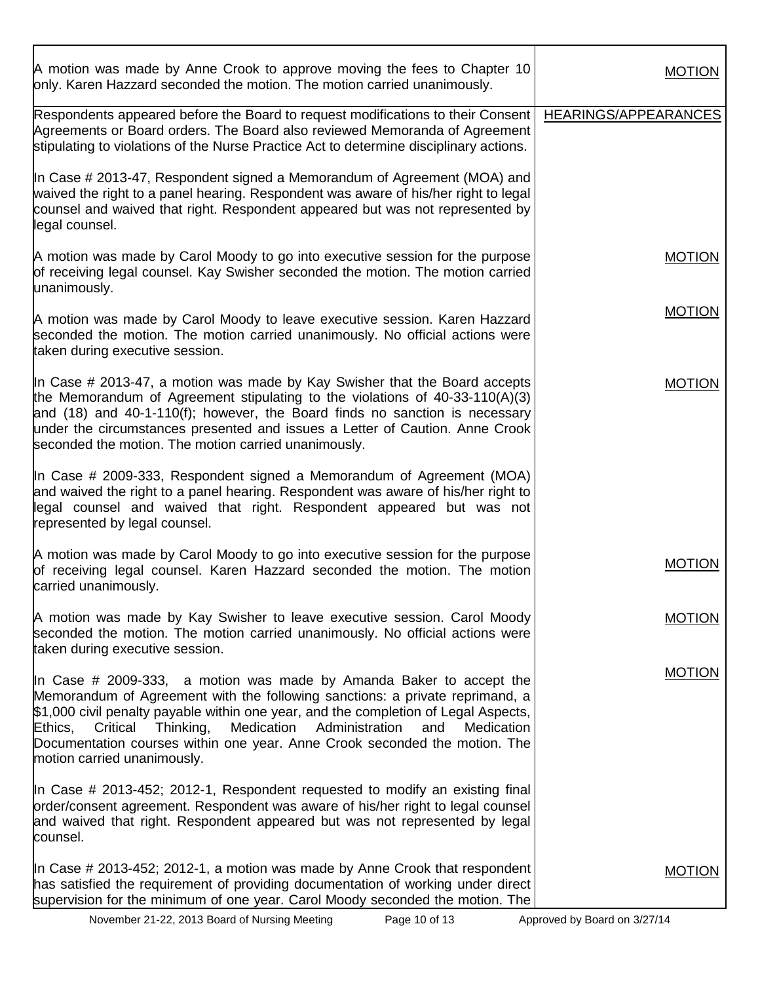| A motion was made by Anne Crook to approve moving the fees to Chapter 10<br>only. Karen Hazzard seconded the motion. The motion carried unanimously.                                                                                                                                                                                                                                                                                             | <b>MOTION</b>        |
|--------------------------------------------------------------------------------------------------------------------------------------------------------------------------------------------------------------------------------------------------------------------------------------------------------------------------------------------------------------------------------------------------------------------------------------------------|----------------------|
| Respondents appeared before the Board to request modifications to their Consent<br>Agreements or Board orders. The Board also reviewed Memoranda of Agreement<br>stipulating to violations of the Nurse Practice Act to determine disciplinary actions.                                                                                                                                                                                          | HEARINGS/APPEARANCES |
| In Case # 2013-47, Respondent signed a Memorandum of Agreement (MOA) and<br>waived the right to a panel hearing. Respondent was aware of his/her right to legal<br>counsel and waived that right. Respondent appeared but was not represented by<br>legal counsel.                                                                                                                                                                               |                      |
| A motion was made by Carol Moody to go into executive session for the purpose<br>of receiving legal counsel. Kay Swisher seconded the motion. The motion carried<br>unanimously.                                                                                                                                                                                                                                                                 | <b>MOTION</b>        |
| A motion was made by Carol Moody to leave executive session. Karen Hazzard<br>seconded the motion. The motion carried unanimously. No official actions were<br>taken during executive session.                                                                                                                                                                                                                                                   | <b>MOTION</b>        |
| In Case # 2013-47, a motion was made by Kay Swisher that the Board accepts<br>the Memorandum of Agreement stipulating to the violations of $40-33-110(A)(3)$<br>and (18) and 40-1-110(f); however, the Board finds no sanction is necessary<br>under the circumstances presented and issues a Letter of Caution. Anne Crook<br>seconded the motion. The motion carried unanimously.                                                              | <b>MOTION</b>        |
| In Case # 2009-333, Respondent signed a Memorandum of Agreement (MOA)<br>and waived the right to a panel hearing. Respondent was aware of his/her right to<br>legal counsel and waived that right. Respondent appeared but was not<br>represented by legal counsel.                                                                                                                                                                              |                      |
| A motion was made by Carol Moody to go into executive session for the purpose<br>of receiving legal counsel. Karen Hazzard seconded the motion. The motion<br>carried unanimously.                                                                                                                                                                                                                                                               | <b>MOTION</b>        |
| A motion was made by Kay Swisher to leave executive session. Carol Moody<br>seconded the motion. The motion carried unanimously. No official actions were<br>taken during executive session.                                                                                                                                                                                                                                                     | <b>MOTION</b>        |
| In Case # 2009-333, a motion was made by Amanda Baker to accept the<br>Memorandum of Agreement with the following sanctions: a private reprimand, a<br>\$1,000 civil penalty payable within one year, and the completion of Legal Aspects,<br>Medication<br>Administration<br>Critical<br>Thinking,<br>Medication<br>Ethics,<br>and<br>Documentation courses within one year. Anne Crook seconded the motion. The<br>motion carried unanimously. | <b>MOTION</b>        |
| In Case # 2013-452; 2012-1, Respondent requested to modify an existing final<br>order/consent agreement. Respondent was aware of his/her right to legal counsel<br>and waived that right. Respondent appeared but was not represented by legal<br>counsel.                                                                                                                                                                                       |                      |
| In Case # 2013-452; 2012-1, a motion was made by Anne Crook that respondent<br>has satisfied the requirement of providing documentation of working under direct<br>supervision for the minimum of one year. Carol Moody seconded the motion. The                                                                                                                                                                                                 | <b>MOTION</b>        |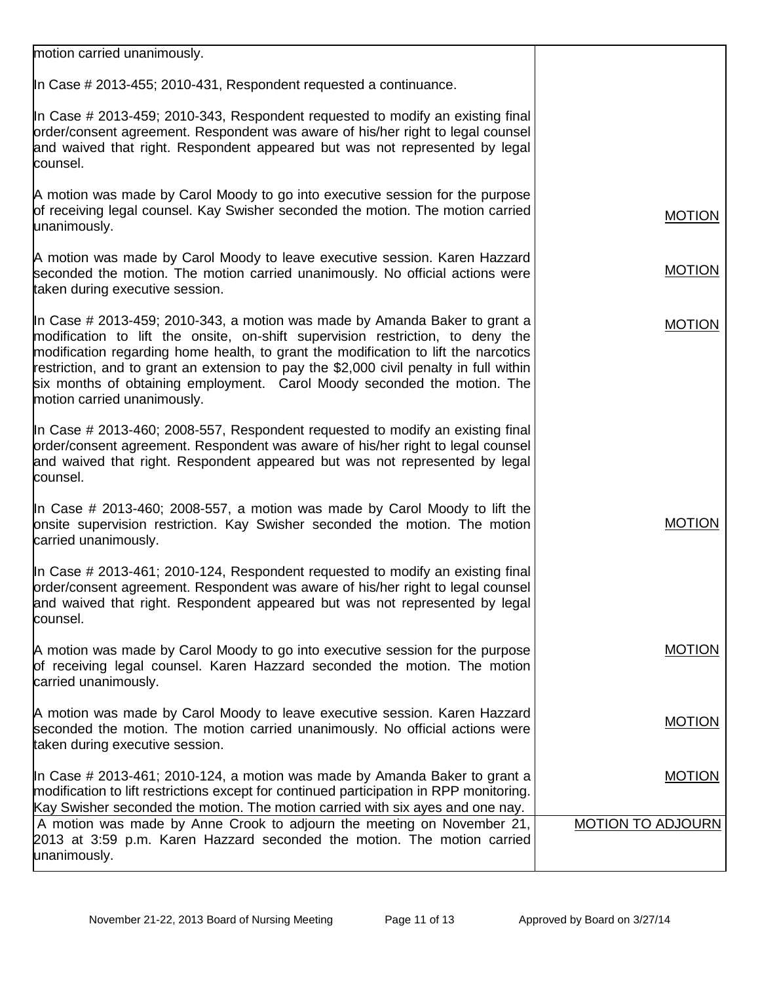| motion carried unanimously.                                                                                                                                                                                                                                                                                                                                                                                                                              |                          |
|----------------------------------------------------------------------------------------------------------------------------------------------------------------------------------------------------------------------------------------------------------------------------------------------------------------------------------------------------------------------------------------------------------------------------------------------------------|--------------------------|
| In Case # 2013-455; 2010-431, Respondent requested a continuance.                                                                                                                                                                                                                                                                                                                                                                                        |                          |
| In Case # 2013-459; 2010-343, Respondent requested to modify an existing final<br>order/consent agreement. Respondent was aware of his/her right to legal counsel<br>and waived that right. Respondent appeared but was not represented by legal<br>counsel.                                                                                                                                                                                             |                          |
| A motion was made by Carol Moody to go into executive session for the purpose<br>of receiving legal counsel. Kay Swisher seconded the motion. The motion carried<br>unanimously.                                                                                                                                                                                                                                                                         | <b>MOTION</b>            |
| A motion was made by Carol Moody to leave executive session. Karen Hazzard<br>seconded the motion. The motion carried unanimously. No official actions were<br>taken during executive session.                                                                                                                                                                                                                                                           | <b>MOTION</b>            |
| In Case # 2013-459; 2010-343, a motion was made by Amanda Baker to grant a<br>modification to lift the onsite, on-shift supervision restriction, to deny the<br>modification regarding home health, to grant the modification to lift the narcotics<br>restriction, and to grant an extension to pay the \$2,000 civil penalty in full within<br>six months of obtaining employment. Carol Moody seconded the motion. The<br>motion carried unanimously. | <b>MOTION</b>            |
| In Case # 2013-460; 2008-557, Respondent requested to modify an existing final<br>order/consent agreement. Respondent was aware of his/her right to legal counsel<br>and waived that right. Respondent appeared but was not represented by legal<br>counsel.                                                                                                                                                                                             |                          |
| In Case # 2013-460; 2008-557, a motion was made by Carol Moody to lift the<br>onsite supervision restriction. Kay Swisher seconded the motion. The motion<br>carried unanimously.                                                                                                                                                                                                                                                                        | <b>MOTION</b>            |
| In Case # 2013-461; 2010-124, Respondent requested to modify an existing final<br>order/consent agreement. Respondent was aware of his/her right to legal counsel<br>and waived that right. Respondent appeared but was not represented by legal<br>counsel.                                                                                                                                                                                             |                          |
| A motion was made by Carol Moody to go into executive session for the purpose<br>of receiving legal counsel. Karen Hazzard seconded the motion. The motion<br>carried unanimously.                                                                                                                                                                                                                                                                       | <b>MOTION</b>            |
| A motion was made by Carol Moody to leave executive session. Karen Hazzard<br>seconded the motion. The motion carried unanimously. No official actions were<br>taken during executive session.                                                                                                                                                                                                                                                           | <b>MOTION</b>            |
| In Case # 2013-461; 2010-124, a motion was made by Amanda Baker to grant a<br>modification to lift restrictions except for continued participation in RPP monitoring.<br>Kay Swisher seconded the motion. The motion carried with six ayes and one nay.                                                                                                                                                                                                  | <b>MOTION</b>            |
| A motion was made by Anne Crook to adjourn the meeting on November 21,<br>2013 at 3:59 p.m. Karen Hazzard seconded the motion. The motion carried<br>unanimously.                                                                                                                                                                                                                                                                                        | <b>MOTION TO ADJOURN</b> |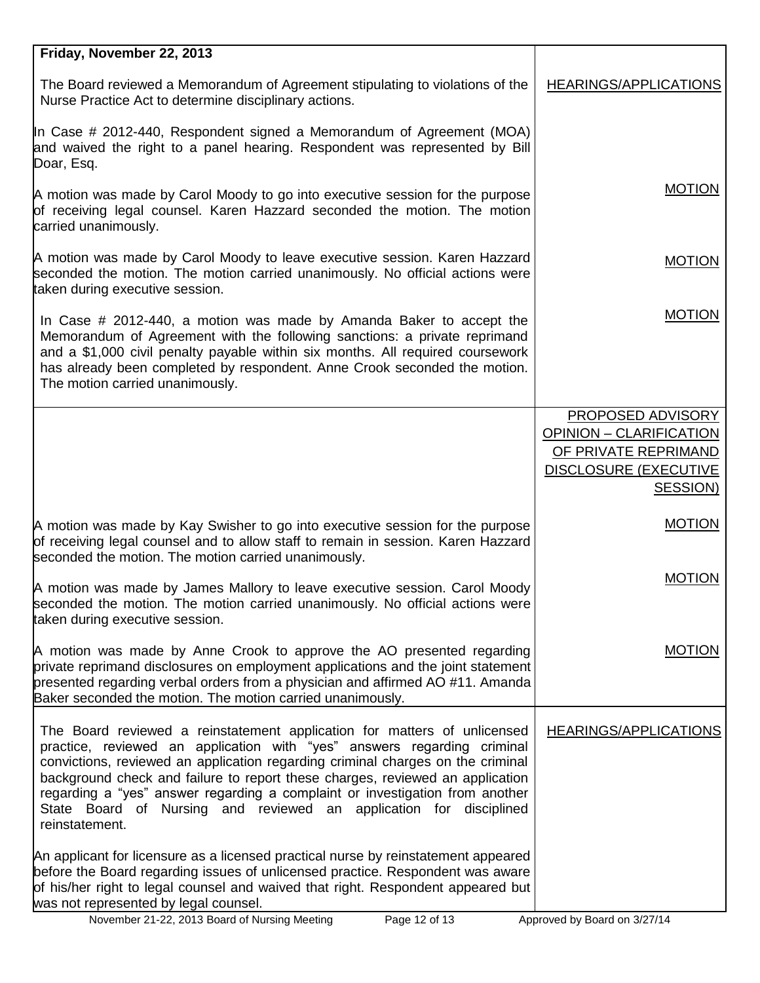| Friday, November 22, 2013                                                                                                                                                                                                                                                                                                                                                                                                                                                                       |                                                      |
|-------------------------------------------------------------------------------------------------------------------------------------------------------------------------------------------------------------------------------------------------------------------------------------------------------------------------------------------------------------------------------------------------------------------------------------------------------------------------------------------------|------------------------------------------------------|
| The Board reviewed a Memorandum of Agreement stipulating to violations of the<br>Nurse Practice Act to determine disciplinary actions.                                                                                                                                                                                                                                                                                                                                                          | <b>HEARINGS/APPLICATIONS</b>                         |
| In Case # 2012-440, Respondent signed a Memorandum of Agreement (MOA)<br>and waived the right to a panel hearing. Respondent was represented by Bill<br>Doar, Esq.                                                                                                                                                                                                                                                                                                                              |                                                      |
| A motion was made by Carol Moody to go into executive session for the purpose<br>of receiving legal counsel. Karen Hazzard seconded the motion. The motion<br>carried unanimously.                                                                                                                                                                                                                                                                                                              | <b>MOTION</b>                                        |
| A motion was made by Carol Moody to leave executive session. Karen Hazzard<br>seconded the motion. The motion carried unanimously. No official actions were<br>taken during executive session.                                                                                                                                                                                                                                                                                                  | <b>MOTION</b>                                        |
| In Case $\#$ 2012-440, a motion was made by Amanda Baker to accept the<br>Memorandum of Agreement with the following sanctions: a private reprimand<br>and a \$1,000 civil penalty payable within six months. All required coursework<br>has already been completed by respondent. Anne Crook seconded the motion.<br>The motion carried unanimously.                                                                                                                                           | <b>MOTION</b>                                        |
|                                                                                                                                                                                                                                                                                                                                                                                                                                                                                                 | PROPOSED ADVISORY                                    |
|                                                                                                                                                                                                                                                                                                                                                                                                                                                                                                 | OPINION - CLARIFICATION                              |
|                                                                                                                                                                                                                                                                                                                                                                                                                                                                                                 | OF PRIVATE REPRIMAND<br><b>DISCLOSURE (EXECUTIVE</b> |
|                                                                                                                                                                                                                                                                                                                                                                                                                                                                                                 | SESSION)                                             |
| A motion was made by Kay Swisher to go into executive session for the purpose<br>of receiving legal counsel and to allow staff to remain in session. Karen Hazzard<br>seconded the motion. The motion carried unanimously.                                                                                                                                                                                                                                                                      | <b>MOTION</b>                                        |
| A motion was made by James Mallory to leave executive session. Carol Moody<br>seconded the motion. The motion carried unanimously. No official actions were<br>taken during executive session.                                                                                                                                                                                                                                                                                                  | <b>MOTION</b>                                        |
| A motion was made by Anne Crook to approve the AO presented regarding<br>private reprimand disclosures on employment applications and the joint statement<br>presented regarding verbal orders from a physician and affirmed AO #11. Amanda<br>Baker seconded the motion. The motion carried unanimously.                                                                                                                                                                                       | <b>MOTION</b>                                        |
| The Board reviewed a reinstatement application for matters of unlicensed<br>practice, reviewed an application with "yes" answers regarding criminal<br>convictions, reviewed an application regarding criminal charges on the criminal<br>background check and failure to report these charges, reviewed an application<br>regarding a "yes" answer regarding a complaint or investigation from another<br>State Board of Nursing and reviewed an application for disciplined<br>reinstatement. | <b>HEARINGS/APPLICATIONS</b>                         |
| An applicant for licensure as a licensed practical nurse by reinstatement appeared<br>before the Board regarding issues of unlicensed practice. Respondent was aware<br>of his/her right to legal counsel and waived that right. Respondent appeared but<br>was not represented by legal counsel.<br>November 21-22, 2013 Board of Nursing Meeting<br>Page 12 of 13                                                                                                                             | Approved by Board on 3/27/14                         |